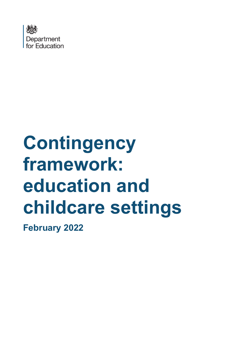

# **Contingency framework: education and childcare settings**

**February 2022**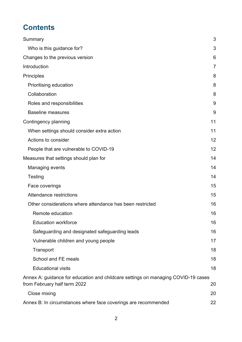# **Contents**

|                                                                                                                   | 3  |
|-------------------------------------------------------------------------------------------------------------------|----|
| Summary                                                                                                           |    |
| Who is this guidance for?                                                                                         | 3  |
| Changes to the previous version                                                                                   | 6  |
| Introduction                                                                                                      | 7  |
| <b>Principles</b>                                                                                                 | 8  |
| Prioritising education                                                                                            | 8  |
| Collaboration                                                                                                     | 8  |
| Roles and responsibilities                                                                                        | 9  |
| <b>Baseline measures</b>                                                                                          | 9  |
| Contingency planning                                                                                              | 11 |
| When settings should consider extra action                                                                        | 11 |
| Actions to consider                                                                                               | 12 |
| People that are vulnerable to COVID-19                                                                            | 12 |
| Measures that settings should plan for                                                                            | 14 |
| Managing events                                                                                                   | 14 |
| Testing                                                                                                           | 14 |
| Face coverings                                                                                                    | 15 |
| Attendance restrictions                                                                                           | 15 |
| Other considerations where attendance has been restricted                                                         | 16 |
| Remote education                                                                                                  | 16 |
| <b>Education workforce</b>                                                                                        | 16 |
| Safeguarding and designated safeguarding leads                                                                    | 16 |
| Vulnerable children and young people                                                                              | 17 |
| Transport                                                                                                         | 18 |
| School and FE meals                                                                                               | 18 |
| <b>Educational visits</b>                                                                                         | 18 |
| Annex A: guidance for education and childcare settings on managing COVID-19 cases<br>from February half term 2022 | 20 |
| Close mixing                                                                                                      | 20 |
| Annex B: In circumstances where face coverings are recommended                                                    | 22 |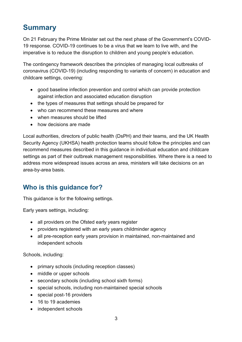# <span id="page-2-0"></span>**Summary**

On 21 February the Prime Minister set out the next phase of the Government's COVID-19 response. COVID-19 continues to be a virus that we learn to live with, and the imperative is to reduce the disruption to children and young people's education.

The contingency framework describes the principles of managing local outbreaks of coronavirus (COVID-19) (including responding to variants of concern) in education and childcare settings, covering:

- good baseline infection prevention and control which can provide protection against infection and associated education disruption
- the types of measures that settings should be prepared for
- who can recommend these measures and where
- when measures should be lifted
- how decisions are made

Local authorities, directors of public health (DsPH) and their teams, and the UK Health Security Agency (UKHSA) health protection teams should follow the principles and can recommend measures described in this guidance in individual education and childcare settings as part of their outbreak management responsibilities. Where there is a need to address more widespread issues across an area, ministers will take decisions on an area-by-area basis.

## <span id="page-2-1"></span>**Who is this guidance for?**

This guidance is for the following settings.

Early years settings, including:

- all providers on the Ofsted early years register
- providers registered with an early years childminder agency
- all pre-reception early years provision in maintained, non-maintained and independent schools

Schools, including:

- primary schools (including reception classes)
- middle or upper schools
- secondary schools (including school sixth forms)
- special schools, including non-maintained special schools
- special post-16 providers
- 16 to 19 academies
- independent schools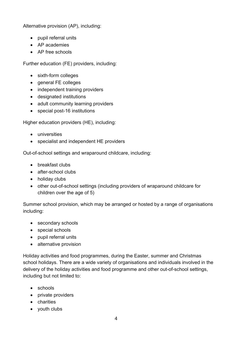Alternative provision (AP), including:

- pupil referral units
- AP academies
- AP free schools

Further education (FE) providers, including:

- sixth-form colleges
- general FE colleges
- independent training providers
- designated institutions
- adult community learning providers
- special post-16 institutions

Higher education providers (HE), including:

- universities
- specialist and independent HE providers

Out-of-school settings and wraparound childcare, including:

- breakfast clubs
- after-school clubs
- holiday clubs
- other out-of-school settings (including providers of wraparound childcare for children over the age of 5)

Summer school provision, which may be arranged or hosted by a range of organisations including:

- secondary schools
- special schools
- pupil referral units
- alternative provision

Holiday activities and food programmes, during the Easter, summer and Christmas school holidays. There are a wide variety of organisations and individuals involved in the delivery of the holiday activities and food programme and other out-of-school settings, including but not limited to:

- schools
- private providers
- charities
- youth clubs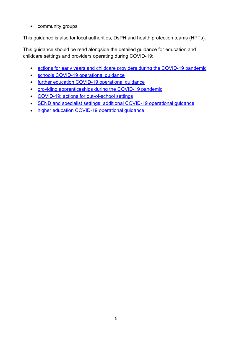• community groups

This guidance is also for local authorities, DsPH and health protection teams (HPTs).

This guidance should be read alongside the detailed guidance for education and childcare settings and providers operating during COVID-19:

- [actions for early years and childcare providers during the COVID-19 pandemic](https://www.gov.uk/government/publications/coronavirus-covid-19-early-years-and-childcare-closures/actions-for-early-years-and-childcare-providers-during-the-covid-19-pandemic)
- [schools COVID-19 operational guidance](https://www.gov.uk/government/publications/actions-for-schools-during-the-coronavirus-outbreak/schools-covid-19-operational-guidance)
- [further education COVID-19 operational guidance](https://www.gov.uk/government/publications/coronavirus-covid-19-maintaining-further-education-provision/further-education-covid-19-operational-guidance)
- [providing apprenticeships during the COVID-19 pandemic](https://www.gov.uk/government/publications/coronavirus-covid-19-apprenticeship-programme-response/providing-apprenticeships-during-the-covid-19-pandemic)
- [COVID-19: actions for out-of-school settings](https://www.gov.uk/government/publications/protective-measures-for-holiday-or-after-school-clubs-and-other-out-of-school-settings-for-children-during-the-coronavirus-covid-19-outbreak/covid-19-actions-for-out-of-school-settings)
- [SEND and specialist settings: additional COVID-19 operational guidance](https://www.gov.uk/government/publications/guidance-for-full-opening-special-schools-and-other-specialist-settings/send-and-specialist-settings-additional-covid-19-operational-guidance-applies-after-step-4)
- [higher education COVID-19 operational guidance](https://www.gov.uk/government/publications/higher-education-reopening-buildings-and-campuses/higher-education-covid-19-operational-guidance)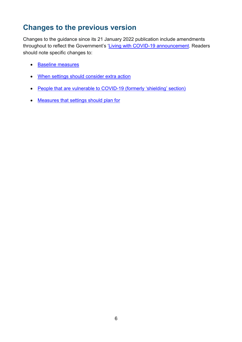## <span id="page-5-0"></span>**Changes to the previous version**

Changes to the guidance since its 21 January 2022 publication include amendments throughout to reflect the Government's ['Living with COVID-19](https://www.gov.uk/government/publications/covid-19-response-living-with-covid-19) announcement. Readers should note specific changes to:

- [Baseline measures](#page-8-1)
- [When settings should consider extra action](#page-10-1)
- People [that are vulnerable to COVID-19](#page-11-1) (formerly 'shielding' section)
- [Measures that settings should plan for](#page-13-0)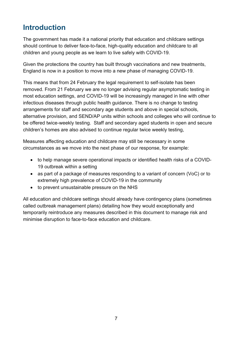# <span id="page-6-0"></span>**Introduction**

The government has made it a national priority that education and childcare settings should continue to deliver face-to-face, high-quality education and childcare to all children and young people as we learn to live safely with COVID-19.

Given the protections the country has built through vaccinations and new treatments, England is now in a position to move into a new phase of managing COVID-19.

This means that from 24 February the legal requirement to self-isolate has been removed. From 21 February we are no longer advising regular asymptomatic testing in most education settings, and COVID-19 will be increasingly managed in line with other infectious diseases through public health guidance. There is no change to testing arrangements for staff and secondary age students and above in special schools, alternative provision, and SEND/AP units within schools and colleges who will continue to be offered twice-weekly testing. Staff and secondary aged students in open and secure children's homes are also advised to continue regular twice weekly testing,

Measures affecting education and childcare may still be necessary in some circumstances as we move into the next phase of our response, for example:

- to help manage severe operational impacts or identified health risks of a COVID-19 outbreak within a setting
- as part of a package of measures responding to a variant of concern (VoC) or to extremely high prevalence of COVID-19 in the community
- to prevent unsustainable pressure on the NHS

All education and childcare settings should already have contingency plans (sometimes called outbreak management plans) detailing how they would exceptionally and temporarily reintroduce any measures described in this document to manage risk and minimise disruption to face-to-face education and childcare.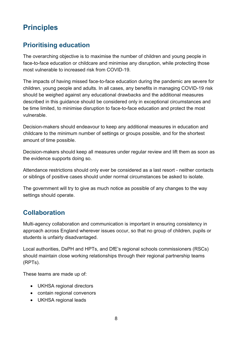# <span id="page-7-0"></span>**Principles**

## <span id="page-7-1"></span>**Prioritising education**

The overarching objective is to maximise the number of children and young people in face-to-face education or childcare and minimise any disruption, while protecting those most vulnerable to increased risk from COVID-19.

The impacts of having missed face-to-face education during the pandemic are severe for children, young people and adults. In all cases, any benefits in managing COVID-19 risk should be weighed against any educational drawbacks and the additional measures described in this guidance should be considered only in exceptional circumstances and be time limited, to minimise disruption to face-to-face education and protect the most vulnerable.

Decision-makers should endeavour to keep any additional measures in education and childcare to the minimum number of settings or groups possible, and for the shortest amount of time possible.

Decision-makers should keep all measures under regular review and lift them as soon as the evidence supports doing so.

Attendance restrictions should only ever be considered as a last resort - neither contacts or siblings of positive cases should under normal circumstances be asked to isolate.

The government will try to give as much notice as possible of any changes to the way settings should operate.

## <span id="page-7-2"></span>**Collaboration**

Multi-agency collaboration and communication is important in ensuring consistency in approach across England wherever issues occur, so that no group of children, pupils or students is unfairly disadvantaged.

Local authorities, DsPH and HPTs, and DfE's regional schools commissioners (RSCs) should maintain close working relationships through their regional partnership teams (RPTs).

These teams are made up of:

- UKHSA regional directors
- contain regional convenors
- UKHSA regional leads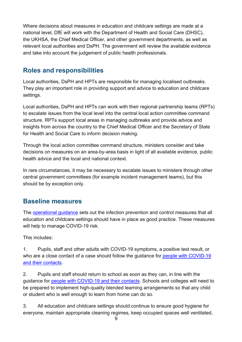Where decisions about measures in education and childcare settings are made at a national level, DfE will work with the Department of Health and Social Care (DHSC), the UKHSA, the Chief Medical Officer, and other government departments, as well as relevant local authorities and DsPH. The government will review the available evidence and take into account the judgement of public health professionals.

### <span id="page-8-0"></span>**Roles and responsibilities**

Local authorities, DsPH and HPTs are responsible for managing localised outbreaks. They play an important role in providing support and advice to education and childcare settings.

Local authorities, DsPH and HPTs can work with their regional partnership teams (RPTs) to escalate issues from the local level into the central local action committee command structure. RPTs support local areas in managing outbreaks and provide advice and insights from across the country to the Chief Medical Officer and the Secretary of State for Health and Social Care to inform decision making.

Through the local action committee command structure, ministers consider and take decisions on measures on an area-by-area basis in light of all available evidence, public health advice and the local and national context.

In rare circumstances, it may be necessary to escalate issues to ministers through other central government committees (for example incident management teams), but this should be by exception only.

## <span id="page-8-1"></span>**Baseline measures**

The [operational guidance](https://www.gov.uk/government/collections/guidance-for-schools-coronavirus-covid-19?priority-taxon=774cee22-d896-44c1-a611-e3109cce8eae) sets out the infection prevention and control measures that all education and childcare settings should have in place as good practice. These measures will help to manage COVID-19 risk.

This includes:

1. Pupils, staff and other adults with COVID-19 symptoms, a positive test result, or who are a close contact of a case should follow the guidance for people with COVID-19 [and their contacts.](https://www.gov.uk/government/publications/covid-19-people-with-covid-19-and-their-contacts)

2. Pupils and staff should return to school as soon as they can, in line with the guidance for [people with COVID-19 and their contacts.](https://www.gov.uk/government/publications/covid-19-people-with-covid-19-and-their-contacts) Schools and colleges will need to be prepared to implement high-quality blended learning arrangements so that any child or student who is well enough to learn from home can do so.

3. All education and childcare settings should continue to ensure good hygiene for everyone, maintain appropriate cleaning regimes, keep occupied spaces well ventilated,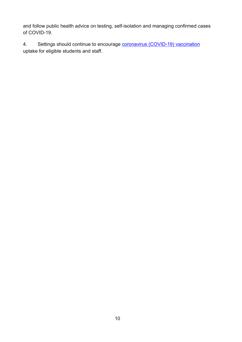and follow public health advice on testing, self-isolation and managing confirmed cases of COVID-19.

4. Settings should continue to encourage **coronavirus (COVID-19) vaccination** uptake for eligible students and staff.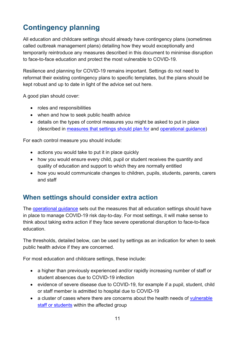# <span id="page-10-0"></span>**Contingency planning**

All education and childcare settings should already have contingency plans (sometimes called outbreak management plans) detailing how they would exceptionally and temporarily reintroduce any measures described in this document to minimise disruption to face-to-face education and protect the most vulnerable to COVID-19.

Resilience and planning for COVID-19 remains important. Settings do not need to reformat their existing contingency plans to specific templates, but the plans should be kept robust and up to date in light of the advice set out here.

A good plan should cover:

- roles and responsibilities
- when and how to seek public health advice
- details on the types of control measures you might be asked to put in place (described in [measures that settings should plan for](#page-13-0) and [operational guidance\)](https://www.gov.uk/government/collections/guidance-for-schools-coronavirus-covid-19)

For each control measure you should include:

- actions you would take to put it in place quickly
- how you would ensure every child, pupil or student receives the quantity and quality of education and support to which they are normally entitled
- how you would communicate changes to children, pupils, students, parents, carers and staff

## <span id="page-10-1"></span>**When settings should consider extra action**

The [operational guidance](https://www.gov.uk/government/collections/guidance-for-schools-coronavirus-covid-19?priority-taxon=774cee22-d896-44c1-a611-e3109cce8eae) sets out the measures that all education settings should have in place to manage COVID-19 risk day-to-day. For most settings, it will make sense to think about taking extra action if they face severe operational disruption to face-to-face education.

The thresholds, detailed below, can be used by settings as an indication for when to seek public health advice if they are concerned.

For most education and childcare settings, these include:

- a higher than previously experienced and/or rapidly increasing number of staff or student absences due to COVID-19 infection
- evidence of severe disease due to COVID-19, for example if a pupil, student, child or staff member is admitted to hospital due to COVID-19
- a cluster of cases where there are concerns about the health needs of vulnerable [staff or students](https://www.nhs.uk/conditions/coronavirus-covid-19/people-at-higher-risk/who-is-at-high-risk-from-coronavirus/) within the affected group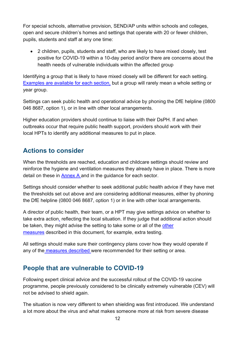For special schools, alternative provision, SEND/AP units within schools and colleges, open and secure children's homes and settings that operate with 20 or fewer children, pupils, students and staff at any one time:

• 2 children, pupils, students and staff, who are likely to have mixed closely, test positive for COVID-19 within a 10-day period and/or there are concerns about the health needs of vulnerable individuals within the affected group

Identifying a group that is likely to have mixed closely will be different for each setting. [Examples are available for each section,](#page-19-1) but a group will rarely mean a whole setting or year group.

Settings can seek public health and operational advice by phoning the DfE helpline (0800 046 8687, option 1), or in line with other local arrangements.

Higher education providers should continue to liaise with their DsPH. If and when outbreaks occur that require public health support, providers should work with their local HPTs to identify any additional measures to put in place.

#### <span id="page-11-0"></span>**Actions to consider**

When the thresholds are reached, education and childcare settings should review and reinforce the hygiene and ventilation measures they already have in place. There is more detail on these in [Annex A](#page-19-0) and in the guidance for each sector.

Settings should consider whether to seek additional public health advice if they have met the thresholds set out above and are considering additional measures, either by phoning the DfE helpline (0800 046 8687, option 1) or in line with other local arrangements.

A director of public health, their team, or a HPT may give settings advice on whether to take extra action, reflecting the local situation. If they judge that additional action should be taken, they might advise the setting to take some or all of the [other](#page-13-0)  [measures](#page-13-0) described in this document, for example, extra testing.

All settings should make sure their contingency plans cover how they would operate if any of the [measures described](#page-13-0) were recommended for their setting or area.

#### <span id="page-11-1"></span>**People that are vulnerable to COVID-19**

Following expert clinical advice and the successful rollout of the COVID-19 vaccine programme, people previously considered to be clinically extremely vulnerable (CEV) will not be advised to shield again.

The situation is now very different to when shielding was first introduced. We understand a lot more about the virus and what makes someone more at risk from severe disease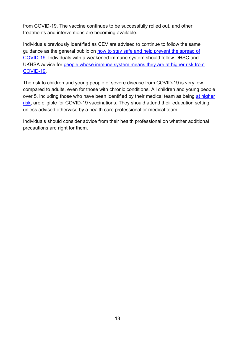from COVID-19. The vaccine continues to be successfully rolled out, and other treatments and interventions are becoming available.

Individuals previously identified as CEV are advised to continue to follow the same guidance as the general public on [how to stay safe and help prevent the spread of](https://www.gov.uk/guidance/covid-19-coronavirus-restrictions-what-you-can-and-cannot-do)  [COVID-19.](https://www.gov.uk/guidance/covid-19-coronavirus-restrictions-what-you-can-and-cannot-do) Individuals with a weakened immune system should follow DHSC and UKHSA advice for [people whose immune system means they are at](https://www.gov.uk/government/publications/covid-19-guidance-for-people-whose-immune-system-means-they-are-at-higher-risk/covid-19-guidance-for-people-whose-immune-system-means-they-are-at-higher-risk) higher risk from [COVID-19.](https://www.gov.uk/government/publications/covid-19-guidance-for-people-whose-immune-system-means-they-are-at-higher-risk/covid-19-guidance-for-people-whose-immune-system-means-they-are-at-higher-risk)

The risk to children and young people of severe disease from COVID-19 is very low compared to adults, even for those with chronic conditions. All children and young people over 5, including those who have been identified by their medical team as being [at higher](https://assets.publishing.service.gov.uk/government/uploads/system/uploads/attachment_data/file/1045852/Greenbook-chapter-14a-11Jan22.pdf#page=22)  [risk,](https://assets.publishing.service.gov.uk/government/uploads/system/uploads/attachment_data/file/1045852/Greenbook-chapter-14a-11Jan22.pdf#page=22) are eligible for COVID-19 vaccinations. They should attend their education setting unless advised otherwise by a health care professional or medical team.

Individuals should consider advice from their health professional on whether additional precautions are right for them.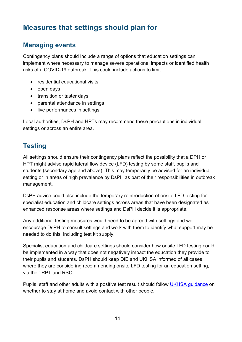# <span id="page-13-0"></span>**Measures that settings should plan for**

#### <span id="page-13-1"></span>**Managing events**

Contingency plans should include a range of options that education settings can implement where necessary to manage severe operational impacts or identified health risks of a COVID-19 outbreak. This could include actions to limit:

- residential educational visits
- open days
- transition or taster days
- parental attendance in settings
- live performances in settings

Local authorities, DsPH and HPTs may recommend these precautions in individual settings or across an entire area.

#### <span id="page-13-2"></span>**Testing**

All settings should ensure their contingency plans reflect the possibility that a DPH or HPT might advise rapid lateral flow device (LFD) testing by some staff, pupils and students (secondary age and above). This may temporarily be advised for an individual setting or in areas of high prevalence by DsPH as part of their responsibilities in outbreak management.

DsPH advice could also include the temporary reintroduction of onsite LFD testing for specialist education and childcare settings across areas that have been designated as enhanced response areas where settings and DsPH decide it is appropriate.

Any additional testing measures would need to be agreed with settings and we encourage DsPH to consult settings and work with them to identify what support may be needed to do this, including test kit supply.

Specialist education and childcare settings should consider how onsite LFD testing could be implemented in a way that does not negatively impact the education they provide to their pupils and students. DsPH should keep DfE and UKHSA informed of all cases where they are considering recommending onsite LFD testing for an education setting, via their RPT and RSC.

Pupils, staff and other adults with a positive test result should follow UKHSA quidance on whether to stay at home and avoid contact with other people.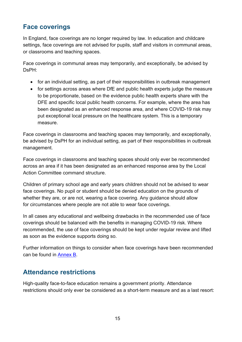## <span id="page-14-0"></span>**Face coverings**

In England, face coverings are no longer required by law. In education and childcare settings, face coverings are not advised for pupils, staff and visitors in communal areas, or classrooms and teaching spaces.

Face coverings in communal areas may temporarily, and exceptionally, be advised by DsPH:

- for an individual setting, as part of their responsibilities in outbreak management
- for settings across areas where DfE and public health experts judge the measure to be proportionate, based on the evidence public health experts share with the DFE and specific local public health concerns. For example, where the area has been designated as an enhanced response area, and where COVID-19 risk may put exceptional local pressure on the healthcare system. This is a temporary measure.

Face coverings in classrooms and teaching spaces may temporarily, and exceptionally, be advised by DsPH for an individual setting, as part of their responsibilities in outbreak management.

Face coverings in classrooms and teaching spaces should only ever be recommended across an area if it has been designated as an enhanced response area by the Local Action Committee command structure.

Children of primary school age and early years children should not be advised to wear face coverings. No pupil or student should be denied education on the grounds of whether they are, or are not, wearing a face covering. Any guidance should allow for circumstances where people are not able to wear face coverings.

In all cases any educational and wellbeing drawbacks in the recommended use of face coverings should be balanced with the benefits in managing COVID-19 risk. Where recommended, the use of face coverings should be kept under regular review and lifted as soon as the evidence supports doing so.

Further information on things to consider when face coverings have been recommended can be found in [Annex B.](#page-21-0)

#### <span id="page-14-1"></span>**Attendance restrictions**

High-quality face-to-face education remains a government priority. Attendance restrictions should only ever be considered as a short-term measure and as a last resort: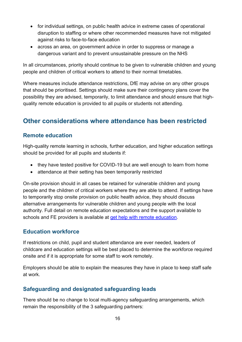- for individual settings, on public health advice in extreme cases of operational disruption to staffing or where other recommended measures have not mitigated against risks to face-to-face education
- across an area, on government advice in order to suppress or manage a dangerous variant and to prevent unsustainable pressure on the NHS

In all circumstances, priority should continue to be given to vulnerable children and young people and children of critical workers to attend to their normal timetables.

Where measures include attendance restrictions, DfE may advise on any other groups that should be prioritised. Settings should make sure their contingency plans cover the possibility they are advised, temporarily, to limit attendance and should ensure that highquality remote education is provided to all pupils or students not attending.

## <span id="page-15-0"></span>**Other considerations where attendance has been restricted**

#### <span id="page-15-1"></span>**Remote education**

High-quality remote learning in schools, further education, and higher education settings should be provided for all pupils and students if:

- they have tested positive for COVID-19 but are well enough to learn from home
- attendance at their setting has been temporarily restricted

On-site provision should in all cases be retained for vulnerable children and young people and the children of critical workers where they are able to attend. If settings have to temporarily stop onsite provision on public health advice, they should discuss alternative arrangements for vulnerable children and young people with the local authority. Full detail on remote education expectations and the support available to schools and FE providers is available at [get help with remote education.](https://get-help-with-remote-education.education.gov.uk/statutory-obligations.html)

#### <span id="page-15-2"></span>**Education workforce**

If restrictions on child, pupil and student attendance are ever needed, leaders of childcare and education settings will be best placed to determine the workforce required onsite and if it is appropriate for some staff to work remotely.

Employers should be able to explain the measures they have in place to keep staff safe at work.

#### <span id="page-15-3"></span>**Safeguarding and designated safeguarding leads**

There should be no change to local multi-agency safeguarding arrangements, which remain the responsibility of the 3 safeguarding partners: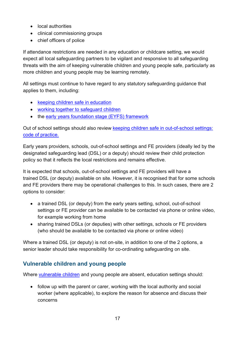- local authorities
- clinical commissioning groups
- chief officers of police

If attendance restrictions are needed in any education or childcare setting, we would expect all local safeguarding partners to be vigilant and responsive to all safeguarding threats with the aim of keeping vulnerable children and young people safe, particularly as more children and young people may be learning remotely.

All settings must continue to have regard to any statutory safeguarding guidance that applies to them, including:

- [keeping children safe in education](https://www.gov.uk/government/publications/keeping-children-safe-in-education--2)
- [working together to safeguard children](https://www.gov.uk/government/publications/working-together-to-safeguard-children--2)
- the [early years foundation stage \(EYFS\) framework](https://www.gov.uk/government/publications/early-years-foundation-stage-framework--2)

Out of school settings should also review [keeping children safe in out-of-school settings:](https://www.gov.uk/government/publications/keeping-children-safe-in-out-of-school-settings-code-of-practice/keeping-children-safe-during-community-activities-after-school-clubs-and-tuition-non-statutory-guidance-for-providers-running-out-of-school-settings)  [code of practice.](https://www.gov.uk/government/publications/keeping-children-safe-in-out-of-school-settings-code-of-practice/keeping-children-safe-during-community-activities-after-school-clubs-and-tuition-non-statutory-guidance-for-providers-running-out-of-school-settings)

Early years providers, schools, out-of-school settings and FE providers (ideally led by the designated safeguarding lead (DSL) or a deputy) should review their child protection policy so that it reflects the local restrictions and remains effective.

It is expected that schools, out-of-school settings and FE providers will have a trained DSL (or deputy) available on site. However, it is recognised that for some schools and FE providers there may be operational challenges to this. In such cases, there are 2 options to consider:

- a trained DSL (or deputy) from the early years setting, school, out-of-school settings or FE provider can be available to be contacted via phone or online video, for example working from home
- sharing trained DSLs (or deputies) with other settings, schools or FE providers (who should be available to be contacted via phone or online video)

Where a trained DSL (or deputy) is not on-site, in addition to one of the 2 options, a senior leader should take responsibility for co-ordinating safeguarding on site.

#### <span id="page-16-0"></span>**Vulnerable children and young people**

Where [vulnerable](https://www.gov.uk/government/publications/coronavirus-covid-19-maintaining-educational-provision/guidance-for-schools-colleges-and-local-authorities-on-maintaining-educational-provision) children and young people are absent, education settings should:

• follow up with the parent or carer, working with the local authority and social worker (where applicable), to explore the reason for absence and discuss their concerns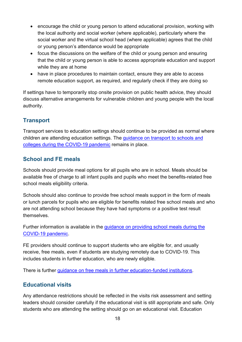- encourage the child or young person to attend educational provision, working with the local authority and social worker (where applicable), particularly where the social worker and the virtual school head (where applicable) agrees that the child or young person's attendance would be appropriate
- focus the discussions on the welfare of the child or young person and ensuring that the child or young person is able to access appropriate education and support while they are at home
- have in place procedures to maintain contact, ensure they are able to access remote education support, as required, and regularly check if they are doing so

If settings have to temporarily stop onsite provision on public health advice, they should discuss alternative arrangements for vulnerable children and young people with the local authority.

#### <span id="page-17-0"></span>**Transport**

Transport services to education settings should continue to be provided as normal where children are attending education settings. The [guidance on transport to schools and](https://www.gov.uk/government/publications/transport-to-school-and-other-places-of-education-autumn-term-2020)  [colleges during the COVID-19 pandemic](https://www.gov.uk/government/publications/transport-to-school-and-other-places-of-education-autumn-term-2020) remains in place.

#### <span id="page-17-1"></span>**School and FE meals**

Schools should provide meal options for all pupils who are in school. Meals should be available free of charge to all infant pupils and pupils who meet the benefits-related free school meals eligibility criteria.

Schools should also continue to provide free school meals support in the form of meals or lunch parcels for pupils who are eligible for benefits related free school meals and who are not attending school because they have had symptoms or a positive test result themselves.

Further information is available in the [guidance on providing school meals during the](https://www.gov.uk/government/publications/covid-19-free-school-meals-guidance/covid-19-free-school-meals-guidance-for-schools)  [COVID-19 pandemic.](https://www.gov.uk/government/publications/covid-19-free-school-meals-guidance/covid-19-free-school-meals-guidance-for-schools)

FE providers should continue to support students who are eligible for, and usually receive, free meals, even if students are studying remotely due to COVID-19. This includes students in further education, who are newly eligible.

There is further [guidance on free meals in further education-funded institutions.](https://www.gov.uk/guidance/free-meals-in-further-education-funded-institutions-guide-for-the-2021-to-2022-academic-year)

#### <span id="page-17-2"></span>**Educational visits**

Any attendance restrictions should be reflected in the visits risk assessment and setting leaders should consider carefully if the educational visit is still appropriate and safe. Only students who are attending the setting should go on an educational visit. Education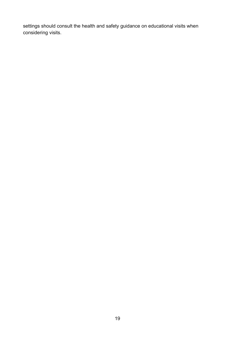settings should consult the health and safety guidance on educational visits when considering visits.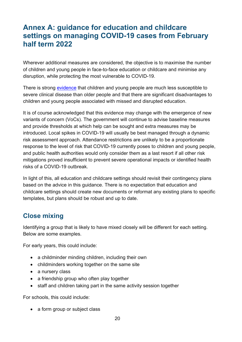## <span id="page-19-0"></span>**Annex A: guidance for education and childcare settings on managing COVID-19 cases from February half term 2022**

Wherever additional measures are considered, the objective is to maximise the number of children and young people in face-to-face education or childcare and minimise any disruption, while protecting the most vulnerable to COVID-19.

There is strong [evidence](https://www.ecdc.europa.eu/sites/default/files/documents/COVID-19-in-children-and-the-role-of-school-settings-in-transmission-first-update_1.pdf) that children and young people are much less susceptible to severe clinical disease than older people and that there are significant disadvantages to children and young people associated with missed and disrupted education.

It is of course acknowledged that this evidence may change with the emergence of new variants of concern (VoCs). The government will continue to advise baseline measures and provide thresholds at which help can be sought and extra measures may be introduced. Local spikes in COVID-19 will usually be best managed through a dynamic risk assessment approach. Attendance restrictions are unlikely to be a proportionate response to the level of risk that COVID-19 currently poses to children and young people, and public health authorities would only consider them as a last resort if all other risk mitigations proved insufficient to prevent severe operational impacts or identified health risks of a COVID-19 outbreak.

In light of this, all education and childcare settings should revisit their contingency plans based on the advice in this guidance. There is no expectation that education and childcare settings should create new documents or reformat any existing plans to specific templates, but plans should be robust and up to date.

## <span id="page-19-1"></span>**Close mixing**

Identifying a group that is likely to have mixed closely will be different for each setting. Below are some examples.

For early years, this could include:

- a childminder minding children, including their own
- childminders working together on the same site
- a nursery class
- a friendship group who often play together
- staff and children taking part in the same activity session together

For schools, this could include:

• a form group or subject class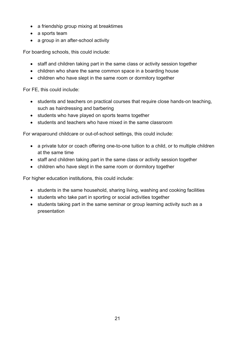- a friendship group mixing at breaktimes
- a sports team
- a group in an after-school activity

For boarding schools, this could include:

- staff and children taking part in the same class or activity session together
- children who share the same common space in a boarding house
- children who have slept in the same room or dormitory together

For FE, this could include:

- students and teachers on practical courses that require close hands-on teaching, such as hairdressing and barbering
- students who have played on sports teams together
- students and teachers who have mixed in the same classroom

For wraparound childcare or out-of-school settings, this could include:

- a private tutor or coach offering one-to-one tuition to a child, or to multiple children at the same time
- staff and children taking part in the same class or activity session together
- children who have slept in the same room or dormitory together

For higher education institutions, this could include:

- students in the same household, sharing living, washing and cooking facilities
- students who take part in sporting or social activities together
- students taking part in the same seminar or group learning activity such as a presentation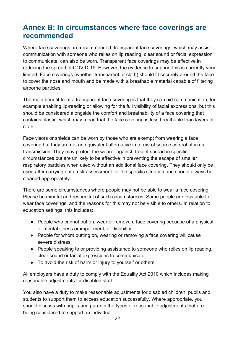## <span id="page-21-0"></span>**Annex B: In circumstances where face coverings are recommended**

Where face coverings are recommended, transparent face coverings, which may assist communication with someone who relies on lip reading, clear sound or facial expression to communicate, can also be worn. Transparent face coverings may be effective in reducing the spread of COVID-19. However, the evidence to support this is currently very limited. Face coverings (whether transparent or cloth) should fit securely around the face to cover the nose and mouth and be made with a breathable material capable of filtering airborne particles.

The main benefit from a transparent face covering is that they can aid communication, for example enabling lip-reading or allowing for the full visibility of facial expressions, but this should be considered alongside the comfort and breathability of a face covering that contains plastic, which may mean that the face covering is less breathable than layers of cloth.

Face visors or shields can be worn by those who are exempt from wearing a face covering but they are not an equivalent alternative in terms of source control of virus transmission. They may protect the wearer against droplet spread in specific circumstances but are unlikely to be effective in preventing the escape of smaller respiratory particles when used without an additional face covering. They should only be used after carrying out a risk assessment for the specific situation and should always be cleaned appropriately.

There are some circumstances where people may not be able to wear a face covering. Please be mindful and respectful of such circumstances. Some people are less able to wear face coverings, and the reasons for this may not be visible to others. In relation to education settings, this includes:

- People who cannot put on, wear or remove a face covering because of a physical or mental illness or impairment, or disability
- People for whom putting on, wearing or removing a face covering will cause severe distress
- People speaking to or providing assistance to someone who relies on lip reading, clear sound or facial expressions to communicate
- To avoid the risk of harm or injury to yourself or others

All employers have a duty to comply with the Equality Act 2010 which includes making reasonable adjustments for disabled staff.

You also have a duty to make reasonable adjustments for disabled children, pupils and students to support them to access education successfully. Where appropriate, you should discuss with pupils and parents the types of reasonable adjustments that are being considered to support an individual.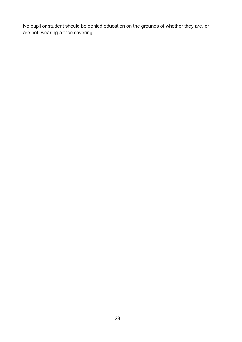No pupil or student should be denied education on the grounds of whether they are, or are not, wearing a face covering.